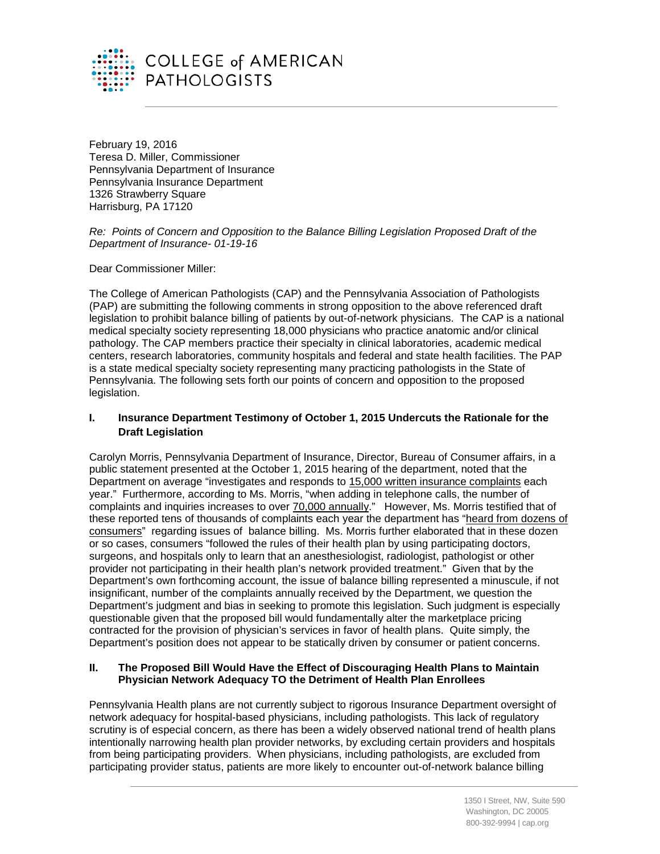

February 19, 2016 Teresa D. Miller, Commissioner Pennsylvania Department of Insurance Pennsylvania Insurance Department 1326 Strawberry Square Harrisburg, PA 17120

#### *Re: Points of Concern and Opposition to the Balance Billing Legislation Proposed Draft of the Department of Insurance- 01-19-16*

Dear Commissioner Miller:

The College of American Pathologists (CAP) and the Pennsylvania Association of Pathologists (PAP) are submitting the following comments in strong opposition to the above referenced draft legislation to prohibit balance billing of patients by out-of-network physicians. The CAP is a national medical specialty society representing 18,000 physicians who practice anatomic and/or clinical pathology. The CAP members practice their specialty in clinical laboratories, academic medical centers, research laboratories, community hospitals and federal and state health facilities. The PAP is a state medical specialty society representing many practicing pathologists in the State of Pennsylvania. The following sets forth our points of concern and opposition to the proposed legislation.

# **I. Insurance Department Testimony of October 1, 2015 Undercuts the Rationale for the Draft Legislation**

Carolyn Morris, Pennsylvania Department of Insurance, Director, Bureau of Consumer affairs, in a public statement presented at the October 1, 2015 hearing of the department, noted that the Department on average "investigates and responds to 15,000 written insurance complaints each year." Furthermore, according to Ms. Morris, "when adding in telephone calls, the number of complaints and inquiries increases to over 70,000 annually." However, Ms. Morris testified that of these reported tens of thousands of complaints each year the department has "heard from dozens of consumers" regarding issues of balance billing. Ms. Morris further elaborated that in these dozen or so cases, consumers "followed the rules of their health plan by using participating doctors, surgeons, and hospitals only to learn that an anesthesiologist, radiologist, pathologist or other provider not participating in their health plan's network provided treatment." Given that by the Department's own forthcoming account, the issue of balance billing represented a minuscule, if not insignificant, number of the complaints annually received by the Department, we question the Department's judgment and bias in seeking to promote this legislation. Such judgment is especially questionable given that the proposed bill would fundamentally alter the marketplace pricing contracted for the provision of physician's services in favor of health plans. Quite simply, the Department's position does not appear to be statically driven by consumer or patient concerns.

### **II. The Proposed Bill Would Have the Effect of Discouraging Health Plans to Maintain Physician Network Adequacy TO the Detriment of Health Plan Enrollees**

Pennsylvania Health plans are not currently subject to rigorous Insurance Department oversight of network adequacy for hospital-based physicians, including pathologists. This lack of regulatory scrutiny is of especial concern, as there has been a widely observed national trend of health plans intentionally narrowing health plan provider networks, by excluding certain providers and hospitals from being participating providers. When physicians, including pathologists, are excluded from participating provider status, patients are more likely to encounter out-of-network balance billing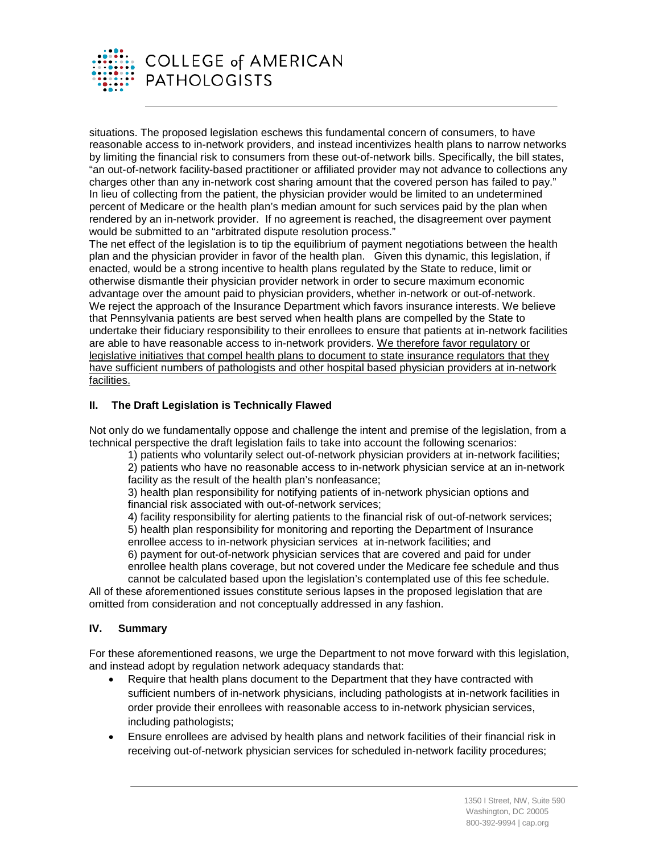

situations. The proposed legislation eschews this fundamental concern of consumers, to have reasonable access to in-network providers, and instead incentivizes health plans to narrow networks by limiting the financial risk to consumers from these out-of-network bills. Specifically, the bill states, "an out-of-network facility-based practitioner or affiliated provider may not advance to collections any charges other than any in-network cost sharing amount that the covered person has failed to pay." In lieu of collecting from the patient, the physician provider would be limited to an undetermined percent of Medicare or the health plan's median amount for such services paid by the plan when rendered by an in-network provider. If no agreement is reached, the disagreement over payment would be submitted to an "arbitrated dispute resolution process."

The net effect of the legislation is to tip the equilibrium of payment negotiations between the health plan and the physician provider in favor of the health plan. Given this dynamic, this legislation, if enacted, would be a strong incentive to health plans regulated by the State to reduce, limit or otherwise dismantle their physician provider network in order to secure maximum economic advantage over the amount paid to physician providers, whether in-network or out-of-network. We reject the approach of the Insurance Department which favors insurance interests. We believe that Pennsylvania patients are best served when health plans are compelled by the State to undertake their fiduciary responsibility to their enrollees to ensure that patients at in-network facilities are able to have reasonable access to in-network providers. We therefore favor regulatory or legislative initiatives that compel health plans to document to state insurance regulators that they have sufficient numbers of pathologists and other hospital based physician providers at in-network facilities.

## **II. The Draft Legislation is Technically Flawed**

Not only do we fundamentally oppose and challenge the intent and premise of the legislation, from a technical perspective the draft legislation fails to take into account the following scenarios:

1) patients who voluntarily select out-of-network physician providers at in-network facilities; 2) patients who have no reasonable access to in-network physician service at an in-network

facility as the result of the health plan's nonfeasance;

3) health plan responsibility for notifying patients of in-network physician options and financial risk associated with out-of-network services;

4) facility responsibility for alerting patients to the financial risk of out-of-network services; 5) health plan responsibility for monitoring and reporting the Department of Insurance

enrollee access to in-network physician services at in-network facilities; and

6) payment for out-of-network physician services that are covered and paid for under enrollee health plans coverage, but not covered under the Medicare fee schedule and thus cannot be calculated based upon the legislation's contemplated use of this fee schedule.

All of these aforementioned issues constitute serious lapses in the proposed legislation that are omitted from consideration and not conceptually addressed in any fashion.

## **IV. Summary**

For these aforementioned reasons, we urge the Department to not move forward with this legislation, and instead adopt by regulation network adequacy standards that:

- Require that health plans document to the Department that they have contracted with sufficient numbers of in-network physicians, including pathologists at in-network facilities in order provide their enrollees with reasonable access to in-network physician services, including pathologists;
- Ensure enrollees are advised by health plans and network facilities of their financial risk in receiving out-of-network physician services for scheduled in-network facility procedures;